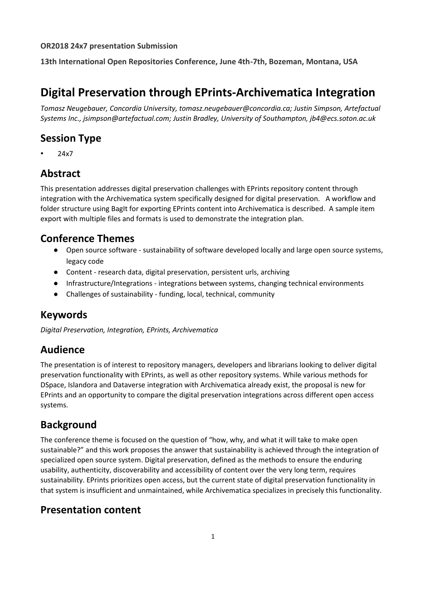#### **OR2018 24x7 presentation Submission**

**13th International Open Repositories Conference, June 4th-7th, Bozeman, Montana, USA**

# **Digital Preservation through EPrints-Archivematica Integration**

*Tomasz Neugebauer, Concordia University, tomasz.neugebauer@concordia.ca; Justin Simpson, Artefactual Systems Inc., jsimpson@artefactual.com; Justin Bradley, University of Southampton, jb4@ecs.soton.ac.uk*

## **Session Type**

• 24x7

# **Abstract**

This presentation addresses digital preservation challenges with EPrints repository content through integration with the Archivematica system specifically designed for digital preservation. A workflow and folder structure using BagIt for exporting EPrints content into Archivematica is described. A sample item export with multiple files and formats is used to demonstrate the integration plan.

### **Conference Themes**

- Open source software sustainability of software developed locally and large open source systems, legacy code
- Content research data, digital preservation, persistent urls, archiving
- Infrastructure/Integrations integrations between systems, changing technical environments
- Challenges of sustainability funding, local, technical, community

### **Keywords**

*Digital Preservation, Integration, EPrints, Archivematica*

### **Audience**

The presentation is of interest to repository managers, developers and librarians looking to deliver digital preservation functionality with EPrints, as well as other repository systems. While various methods for DSpace, Islandora and Dataverse integration with Archivematica already exist, the proposal is new for EPrints and an opportunity to compare the digital preservation integrations across different open access systems.

### **Background**

The conference theme is focused on the question of "how, why, and what it will take to make open sustainable?" and this work proposes the answer that sustainability is achieved through the integration of specialized open source system. Digital preservation, defined as the methods to ensure the enduring usability, authenticity, discoverability and accessibility of content over the very long term, requires sustainability. EPrints prioritizes open access, but the current state of digital preservation functionality in that system is insufficient and unmaintained, while Archivematica specializes in precisely this functionality.

# **Presentation content**